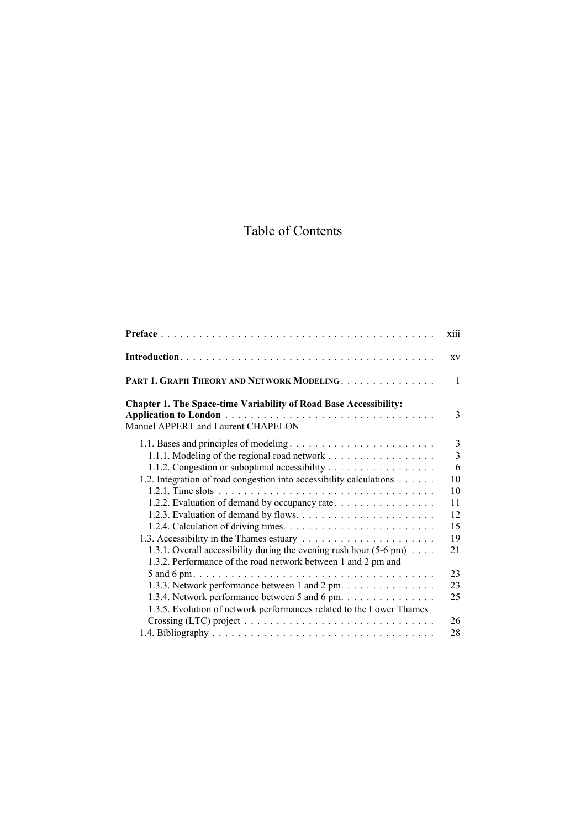## Table of Contents

|                                                                                                                                     | <b>X111</b>    |
|-------------------------------------------------------------------------------------------------------------------------------------|----------------|
|                                                                                                                                     | XV             |
| PART 1. GRAPH THEORY AND NETWORK MODELING.                                                                                          | $\mathbf{1}$   |
| <b>Chapter 1. The Space-time Variability of Road Base Accessibility:</b><br>Manuel APPERT and Laurent CHAPELON                      | 3              |
| 1.1. Bases and principles of modeling                                                                                               | 3              |
| 1.1.1. Modeling of the regional road network                                                                                        | $\overline{3}$ |
| 1.1.2. Congestion or suboptimal accessibility                                                                                       | 6              |
| 1.2. Integration of road congestion into accessibility calculations                                                                 | 10             |
|                                                                                                                                     | 10             |
| 1.2.2. Evaluation of demand by occupancy rate                                                                                       | 11             |
|                                                                                                                                     | 12             |
|                                                                                                                                     | 15             |
|                                                                                                                                     | 19             |
| 1.3.1. Overall accessibility during the evening rush hour (5-6 pm)<br>1.3.2. Performance of the road network between 1 and 2 pm and | 21             |
|                                                                                                                                     | 23             |
| 1.3.3. Network performance between 1 and 2 pm.                                                                                      | 23             |
| 1.3.4. Network performance between 5 and 6 pm.                                                                                      | 25             |
| 1.3.5. Evolution of network performances related to the Lower Thames                                                                |                |
| $Crossing (LTC) project \dots \dots \dots \dots \dots \dots \dots \dots \dots \dots \dots \dots$                                    | 26             |
|                                                                                                                                     | 28             |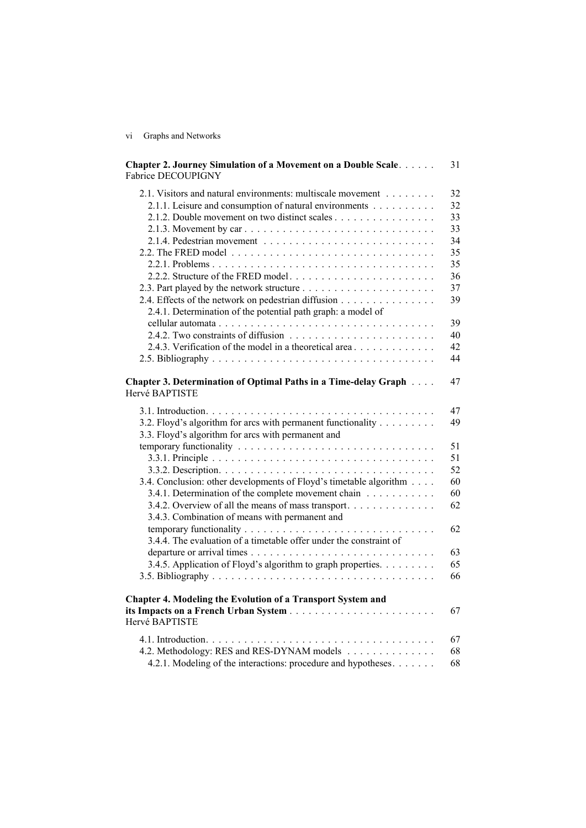| Vl |  | Graphs and Networks |
|----|--|---------------------|
|    |  |                     |
|    |  |                     |

| Chapter 2. Journey Simulation of a Movement on a Double Scale.<br><b>Fabrice DECOUPIGNY</b>                                                                                                                                                                                                                                         | 31                                                       |
|-------------------------------------------------------------------------------------------------------------------------------------------------------------------------------------------------------------------------------------------------------------------------------------------------------------------------------------|----------------------------------------------------------|
| 2.1. Visitors and natural environments: multiscale movement<br>2.1.1. Leisure and consumption of natural environments<br>2.1.2. Double movement on two distinct scales<br>2.2.2. Structure of the FRED model<br>2.4. Effects of the network on pedestrian diffusion<br>2.4.1. Determination of the potential path graph: a model of | 32<br>32<br>33<br>33<br>34<br>35<br>35<br>36<br>37<br>39 |
| 2.4.3. Verification of the model in a theoretical area                                                                                                                                                                                                                                                                              | 39<br>40<br>42<br>44                                     |
| Chapter 3. Determination of Optimal Paths in a Time-delay Graph<br>Hervé BAPTISTE                                                                                                                                                                                                                                                   | 47                                                       |
| 3.2. Floyd's algorithm for arcs with permanent functionality<br>3.3. Floyd's algorithm for arcs with permanent and                                                                                                                                                                                                                  | 47<br>49                                                 |
| 3.4. Conclusion: other developments of Floyd's timetable algorithm<br>3.4.1. Determination of the complete movement chain<br>3.4.2. Overview of all the means of mass transport.<br>3.4.3. Combination of means with permanent and                                                                                                  | 51<br>51<br>52<br>60<br>60<br>62                         |
| 3.4.4. The evaluation of a timetable offer under the constraint of                                                                                                                                                                                                                                                                  | 62                                                       |
| 3.4.5. Application of Floyd's algorithm to graph properties.                                                                                                                                                                                                                                                                        | 63<br>65<br>66                                           |
| <b>Chapter 4. Modeling the Evolution of a Transport System and</b><br>Hervé BAPTISTE                                                                                                                                                                                                                                                | 67                                                       |
| 4.2. Methodology: RES and RES-DYNAM models<br>4.2.1. Modeling of the interactions: procedure and hypotheses.                                                                                                                                                                                                                        | 67<br>68<br>68                                           |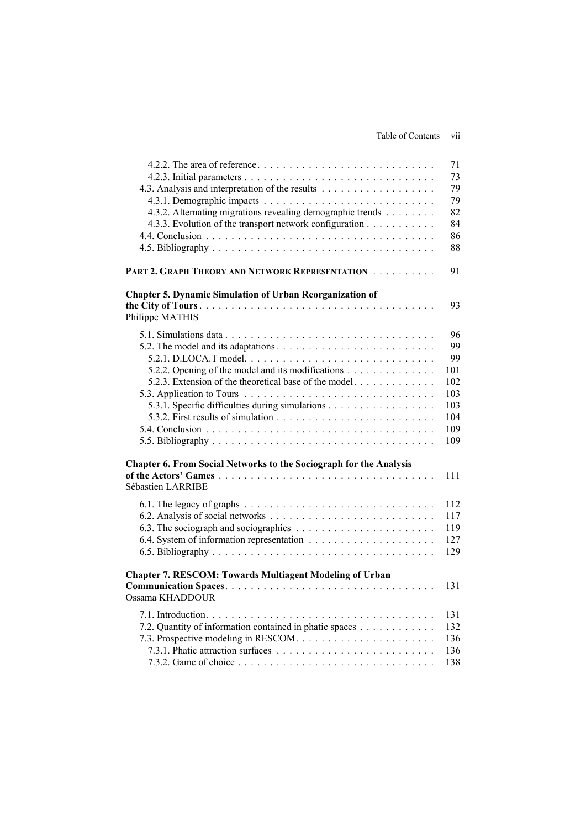## Table of Contents vii

| 4.2.2. The area of reference. $\ldots$ $\ldots$ $\ldots$ $\ldots$ $\ldots$ $\ldots$ $\ldots$ $\ldots$ $\ldots$ | 71  |
|----------------------------------------------------------------------------------------------------------------|-----|
|                                                                                                                | 73  |
|                                                                                                                | 79  |
|                                                                                                                | 79  |
| 4.3.2. Alternating migrations revealing demographic trends                                                     | 82  |
| 4.3.3. Evolution of the transport network configuration                                                        | 84  |
|                                                                                                                | 86  |
|                                                                                                                | 88  |
| PART 2. GRAPH THEORY AND NETWORK REPRESENTATION                                                                | 91  |
| <b>Chapter 5. Dynamic Simulation of Urban Reorganization of</b>                                                |     |
|                                                                                                                | 93  |
| Philippe MATHIS                                                                                                |     |
|                                                                                                                | 96  |
|                                                                                                                | 99  |
|                                                                                                                | 99  |
| 5.2.2. Opening of the model and its modifications                                                              | 101 |
| 5.2.3. Extension of the theoretical base of the model                                                          | 102 |
|                                                                                                                | 103 |
| 5.3.1. Specific difficulties during simulations                                                                | 103 |
|                                                                                                                | 104 |
|                                                                                                                | 109 |
|                                                                                                                | 109 |
| <b>Chapter 6. From Social Networks to the Sociograph for the Analysis</b>                                      |     |
| Sébastien LARRIBE                                                                                              | 111 |
|                                                                                                                | 112 |
|                                                                                                                | 117 |
|                                                                                                                | 119 |
|                                                                                                                | 127 |
|                                                                                                                | 129 |
|                                                                                                                |     |
| <b>Chapter 7. RESCOM: Towards Multiagent Modeling of Urban</b>                                                 |     |
| Ossama KHADDOUR                                                                                                | 131 |
|                                                                                                                | 131 |
| 7.2. Quantity of information contained in phatic spaces                                                        | 132 |
|                                                                                                                | 136 |
|                                                                                                                | 136 |
|                                                                                                                | 138 |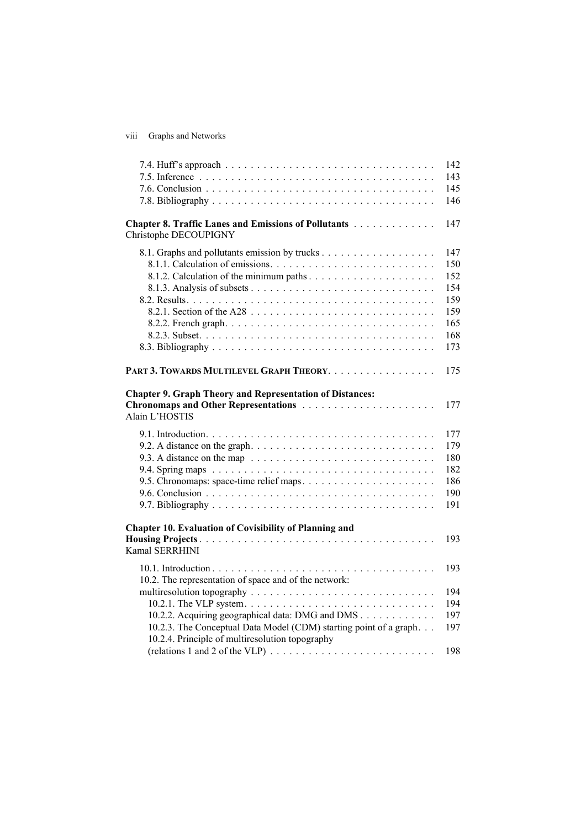viii Graphs and Networks

|                                                                                                                                                                                                                                   | 142<br>143<br>145<br>146                                    |
|-----------------------------------------------------------------------------------------------------------------------------------------------------------------------------------------------------------------------------------|-------------------------------------------------------------|
| Chapter 8. Traffic Lanes and Emissions of Pollutants<br>Christophe DECOUPIGNY                                                                                                                                                     | 147                                                         |
|                                                                                                                                                                                                                                   | 147<br>150<br>152<br>154<br>159<br>159<br>165<br>168<br>173 |
| PART 3. TOWARDS MULTILEVEL GRAPH THEORY.                                                                                                                                                                                          | 175                                                         |
| <b>Chapter 9. Graph Theory and Representation of Distances:</b><br>Chronomaps and Other Representations<br>Alain L'HOSTIS                                                                                                         | 177                                                         |
| 9.3. A distance on the map $\ldots \ldots \ldots \ldots \ldots \ldots \ldots \ldots \ldots \ldots$<br>9.5. Chronomaps: space-time relief maps                                                                                     | 177<br>179<br>180<br>182<br>186<br>190<br>191               |
| <b>Chapter 10. Evaluation of Covisibility of Planning and</b><br>Kamal SERRHINI                                                                                                                                                   | 193                                                         |
| 10.2. The representation of space and of the network:<br>10.2.2. Acquiring geographical data: DMG and DMS<br>10.2.3. The Conceptual Data Model (CDM) starting point of a graph<br>10.2.4. Principle of multiresolution topography | 193<br>194<br>194<br>197<br>197                             |
| $(relations 1 and 2 of the VLP) \dots \dots \dots \dots \dots \dots \dots \dots \dots$                                                                                                                                            | 198                                                         |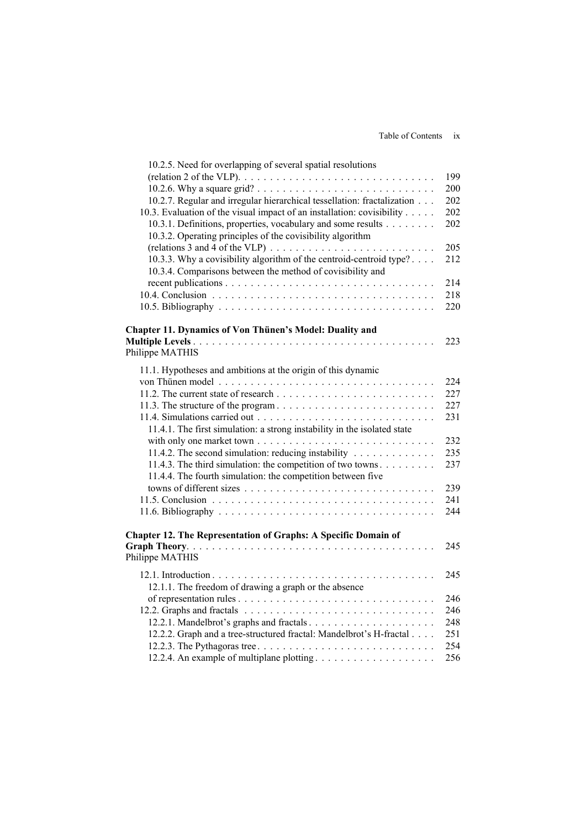| 10.2.5. Need for overlapping of several spatial resolutions              |     |
|--------------------------------------------------------------------------|-----|
|                                                                          | 199 |
|                                                                          | 200 |
| 10.2.7. Regular and irregular hierarchical tessellation: fractalization  | 202 |
| 10.3. Evaluation of the visual impact of an installation: covisibility   | 202 |
| 10.3.1. Definitions, properties, vocabulary and some results             | 202 |
| 10.3.2. Operating principles of the covisibility algorithm               |     |
|                                                                          | 205 |
| 10.3.3. Why a covisibility algorithm of the centroid-centroid type?      | 212 |
| 10.3.4. Comparisons between the method of covisibility and               |     |
|                                                                          | 214 |
|                                                                          | 218 |
|                                                                          | 220 |
|                                                                          |     |
| Chapter 11. Dynamics of Von Thünen's Model: Duality and                  |     |
|                                                                          | 223 |
| Philippe MATHIS                                                          |     |
| 11.1. Hypotheses and ambitions at the origin of this dynamic             |     |
|                                                                          | 224 |
|                                                                          | 227 |
|                                                                          | 227 |
|                                                                          | 231 |
| 11.4.1. The first simulation: a strong instability in the isolated state |     |
|                                                                          | 232 |
| 11.4.2. The second simulation: reducing instability                      | 235 |
| 11.4.3. The third simulation: the competition of two towns               | 237 |
| 11.4.4. The fourth simulation: the competition between five              |     |
|                                                                          | 239 |
|                                                                          | 241 |
|                                                                          | 244 |
|                                                                          |     |
| <b>Chapter 12. The Representation of Graphs: A Specific Domain of</b>    |     |
|                                                                          | 245 |
| Philippe MATHIS                                                          |     |
|                                                                          | 245 |
| 12.1.1. The freedom of drawing a graph or the absence                    |     |
|                                                                          | 246 |
|                                                                          | 246 |
| 12.2.1. Mandelbrot's graphs and fractals                                 | 248 |
| 12.2.2. Graph and a tree-structured fractal: Mandelbrot's H-fractal      | 251 |
|                                                                          | 254 |
|                                                                          | 256 |
|                                                                          |     |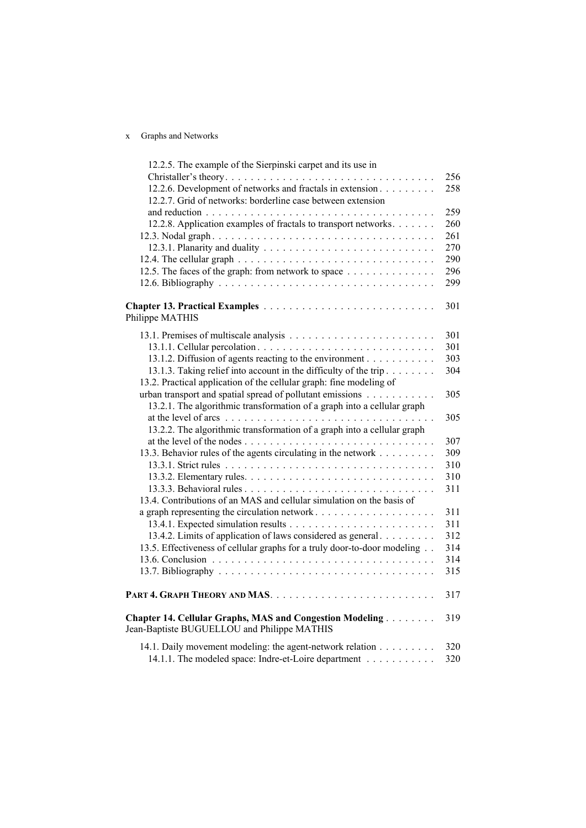## x Graphs and Networks

| 12.2.5. The example of the Sierpinski carpet and its use in              |     |
|--------------------------------------------------------------------------|-----|
|                                                                          | 256 |
| 12.2.6. Development of networks and fractals in extension                | 258 |
| 12.2.7. Grid of networks: borderline case between extension              |     |
|                                                                          | 259 |
| 12.2.8. Application examples of fractals to transport networks.          | 260 |
|                                                                          | 261 |
|                                                                          | 270 |
|                                                                          | 290 |
| 12.5. The faces of the graph: from network to space                      | 296 |
|                                                                          | 299 |
|                                                                          |     |
|                                                                          | 301 |
| Philippe MATHIS                                                          |     |
|                                                                          |     |
|                                                                          | 301 |
|                                                                          | 301 |
| 13.1.2. Diffusion of agents reacting to the environment                  | 303 |
| 13.1.3. Taking relief into account in the difficulty of the trip         | 304 |
| 13.2. Practical application of the cellular graph: fine modeling of      |     |
| urban transport and spatial spread of pollutant emissions                | 305 |
| 13.2.1. The algorithmic transformation of a graph into a cellular graph  |     |
|                                                                          | 305 |
| 13.2.2. The algorithmic transformation of a graph into a cellular graph  |     |
|                                                                          | 307 |
| 13.3. Behavior rules of the agents circulating in the network            | 309 |
|                                                                          | 310 |
|                                                                          | 310 |
|                                                                          | 311 |
| 13.4. Contributions of an MAS and cellular simulation on the basis of    |     |
|                                                                          | 311 |
|                                                                          | 311 |
| 13.4.2. Limits of application of laws considered as general.             | 312 |
| 13.5. Effectiveness of cellular graphs for a truly door-to-door modeling | 314 |
|                                                                          | 314 |
|                                                                          | 315 |
|                                                                          | 317 |
|                                                                          |     |
| Chapter 14. Cellular Graphs, MAS and Congestion Modeling                 | 319 |
| Jean-Baptiste BUGUELLOU and Philippe MATHIS                              |     |
| 14.1. Daily movement modeling: the agent-network relation                | 320 |
| 14.1.1. The modeled space: Indre-et-Loire department                     | 320 |
|                                                                          |     |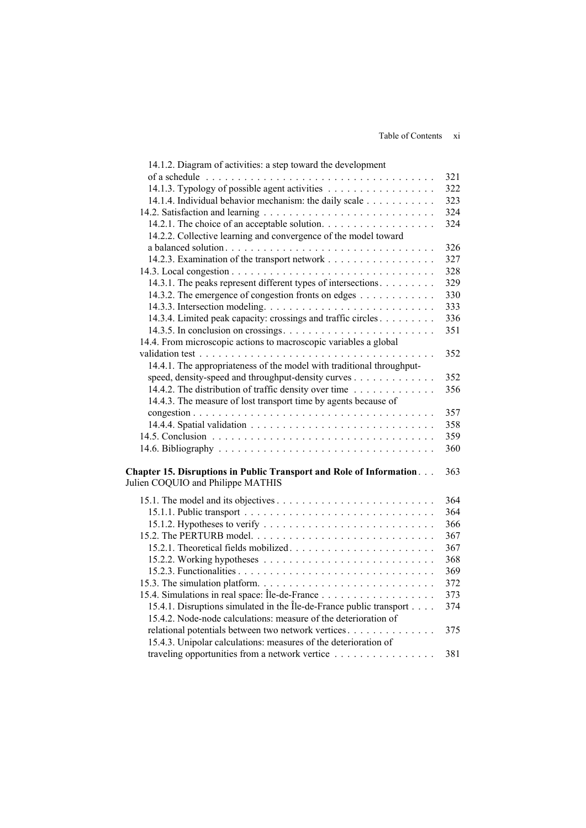| 14.1.2. Diagram of activities: a step toward the development          |     |
|-----------------------------------------------------------------------|-----|
| of a schedule                                                         | 321 |
| 14.1.3. Typology of possible agent activities                         | 322 |
| 14.1.4. Individual behavior mechanism: the daily scale                | 323 |
|                                                                       | 324 |
| 14.2.1. The choice of an acceptable solution.                         | 324 |
| 14.2.2. Collective learning and convergence of the model toward       |     |
|                                                                       | 326 |
|                                                                       | 327 |
|                                                                       | 328 |
| 14.3.1. The peaks represent different types of intersections.         | 329 |
| 14.3.2. The emergence of congestion fronts on edges                   | 330 |
|                                                                       | 333 |
| 14.3.4. Limited peak capacity: crossings and traffic circles          | 336 |
|                                                                       | 351 |
| 14.4. From microscopic actions to macroscopic variables a global      |     |
|                                                                       | 352 |
| 14.4.1. The appropriateness of the model with traditional throughput- |     |
| speed, density-speed and throughput-density curves                    | 352 |
| 14.4.2. The distribution of traffic density over time                 | 356 |
| 14.4.3. The measure of lost transport time by agents because of       |     |
|                                                                       | 357 |
|                                                                       | 358 |
|                                                                       | 359 |
|                                                                       | 360 |
|                                                                       |     |
| Chapter 15. Disruptions in Public Transport and Role of Information   | 363 |
| Julien COQUIO and Philippe MATHIS                                     |     |
|                                                                       | 364 |
|                                                                       | 364 |
|                                                                       | 366 |
|                                                                       | 367 |
| 15.2.1. Theoretical fields mobilized                                  | 367 |
|                                                                       | 368 |
|                                                                       | 369 |
|                                                                       | 372 |
|                                                                       | 373 |
| 15.4.1. Disruptions simulated in the Île-de-France public transport   | 374 |
| 15.4.2. Node-node calculations: measure of the deterioration of       |     |
| relational potentials between two network vertices                    | 375 |
| 15.4.3. Unipolar calculations: measures of the deterioration of       |     |
| traveling opportunities from a network vertice                        | 381 |
|                                                                       |     |